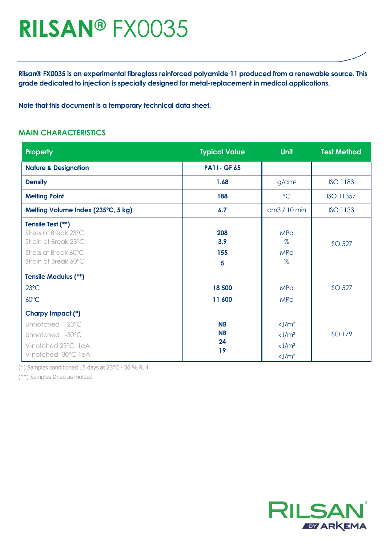# **RILSAN®** FX0035

**Rilsan® FX0035 is an experimental fibreglass reinforced polyamide 11 produced from a renewable source. This grade dedicated to injection is specially designed for metal-replacement in medical applications.**

**Note that this document is a temporary technical data sheet.**

#### **MAIN CHARACTERISTICS**

| Property                                                                                                          | <b>Typical Value</b>               | <b>Unit</b>                                                                      | <b>Test Method</b> |
|-------------------------------------------------------------------------------------------------------------------|------------------------------------|----------------------------------------------------------------------------------|--------------------|
| <b>Nature &amp; Designation</b>                                                                                   | <b>PA11- GF 65</b>                 |                                                                                  |                    |
| <b>Density</b>                                                                                                    | 1.68                               | g/cm <sup>3</sup>                                                                | <b>ISO 1183</b>    |
| <b>Melting Point</b>                                                                                              | 188                                | $\rm ^{\circ}C$                                                                  | ISO 11357          |
| Melting Volume Index (235°C, 5 kg)                                                                                | 6.7                                | cm3 / 10 min                                                                     | <b>ISO 1133</b>    |
| Tensile Test (**)<br>Stress at Break 23°C<br>Strain at Break 23°C<br>Stress at Break 60°C<br>Strain at Break 60°C | 208<br>3.9<br>155<br>5             | <b>MPa</b><br>$\%$<br><b>MPa</b><br>$\%$                                         | <b>ISO 527</b>     |
| <b>Tensile Modulus (**)</b><br>$23^{\circ}$ C<br>$60^{\circ}$ C                                                   | 18 500<br>11 600                   | <b>MPa</b><br><b>MPa</b>                                                         | <b>ISO 527</b>     |
| Charpy Impact (*)<br>Unnotched 23°C<br>Unnotched -30°C<br>V-notched 23°C leA<br>V-notched-30°C leA                | <b>NB</b><br><b>NB</b><br>24<br>19 | kJ/m <sup>2</sup><br>kJ/m <sup>2</sup><br>kJ/m <sup>2</sup><br>kJ/m <sup>2</sup> | <b>ISO 179</b>     |

(\*) Samples conditioned 15 days at 23°C - 50 % R.H.

(\*\*) Samples Dried as molded